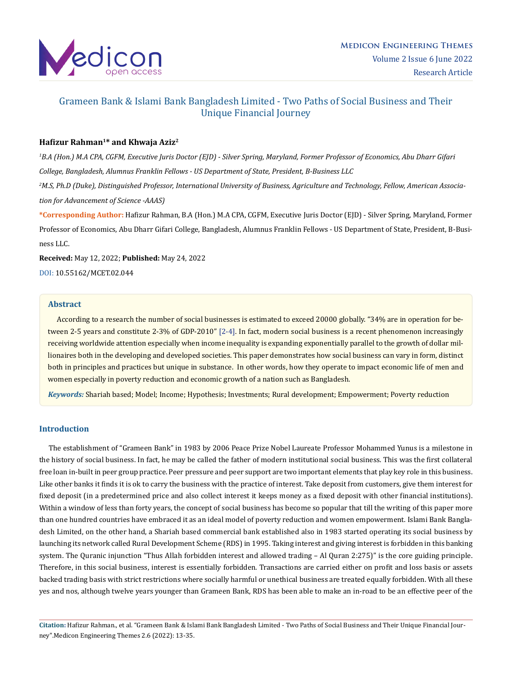

# Grameen Bank & Islami Bank Bangladesh Limited - Two Paths of Social Business and Their Unique Financial Journey

## **Hafizur Rahman<sup>1</sup>\* and Khwaja Aziz<sup>2</sup>**

*1 B.A (Hon.) M.A CPA, CGFM, Executive Juris Doctor (EJD) - Silver Spring, Maryland, Former Professor of Economics, Abu Dharr Gifari College, Bangladesh, Alumnus Franklin Fellows - US Department of State, President, B-Business LLC*

*2 M.S, Ph.D (Duke), Distinguished Professor, International University of Business, Agriculture and Technology, Fellow, American Association for Advancement of Science -AAAS)*

**\*Corresponding Author:** Hafizur Rahman, B.A (Hon.) M.A CPA, CGFM, Executive Juris Doctor (EJD) - Silver Spring, Maryland, Former Professor of Economics, Abu Dharr Gifari College, Bangladesh, Alumnus Franklin Fellows - US Department of State, President, B-Business LLC.

**Received:** May 12, 2022; **Published:** May 24, 2022

[DOI: 10.55162/MCET.02.044](https://doi.org/10.55162/MCET.02.044)

## **Abstract**

 According to a research the number of social businesses is estimated to exceed 20000 globally. "34% are in operation for between 2-5 years and constitute 2-3% of GDP-2010" [2-4]. In fact, modern social business is a recent phenomenon increasingly receiving worldwide attention especially when income inequality is expanding exponentially parallel to the growth of dollar millionaires both in the developing and developed societies. This paper demonstrates how social business can vary in form, distinct both in principles and practices but unique in substance. In other words, how they operate to impact economic life of men and women especially in poverty reduction and economic growth of a nation such as Bangladesh.

*Keywords:* Shariah based; Model; Income; Hypothesis; Investments; Rural development; Empowerment; Poverty reduction

#### **Introduction**

 The establishment of "Grameen Bank" in 1983 by 2006 Peace Prize Nobel Laureate Professor Mohammed Yunus is a milestone in the history of social business. In fact, he may be called the father of modern institutional social business. This was the first collateral free loan in-built in peer group practice. Peer pressure and peer support are two important elements that play key role in this business. Like other banks it finds it is ok to carry the business with the practice of interest. Take deposit from customers, give them interest for fixed deposit (in a predetermined price and also collect interest it keeps money as a fixed deposit with other financial institutions). Within a window of less than forty years, the concept of social business has become so popular that till the writing of this paper more than one hundred countries have embraced it as an ideal model of poverty reduction and women empowerment. Islami Bank Bangladesh Limited, on the other hand, a Shariah based commercial bank established also in 1983 started operating its social business by launching its network called Rural Development Scheme (RDS) in 1995. Taking interest and giving interest is forbidden in this banking system. The Quranic injunction "Thus Allah forbidden interest and allowed trading – Al Quran 2:275)" is the core guiding principle. Therefore, in this social business, interest is essentially forbidden. Transactions are carried either on profit and loss basis or assets backed trading basis with strict restrictions where socially harmful or unethical business are treated equally forbidden. With all these yes and nos, although twelve years younger than Grameen Bank, RDS has been able to make an in-road to be an effective peer of the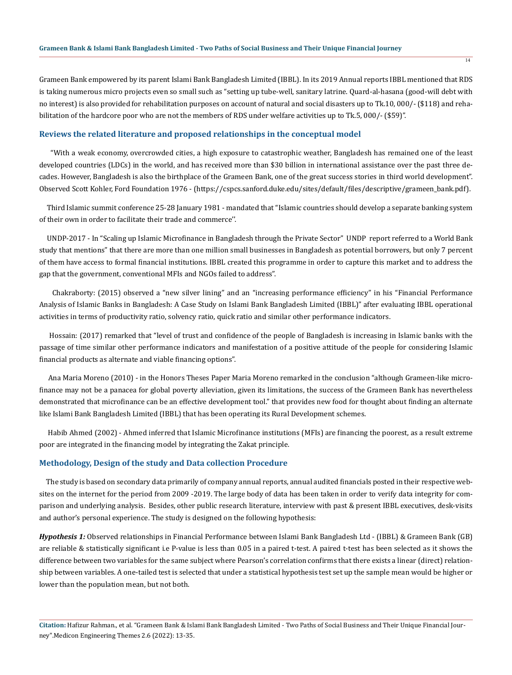Grameen Bank empowered by its parent Islami Bank Bangladesh Limited (IBBL). In its 2019 Annual reports IBBL mentioned that RDS is taking numerous micro projects even so small such as "setting up tube-well, sanitary latrine. Quard-al-hasana (good-will debt with no interest) is also provided for rehabilitation purposes on account of natural and social disasters up to Tk.10, 000/- (\$118) and rehabilitation of the hardcore poor who are not the members of RDS under welfare activities up to Tk.5, 000/- (\$59)".

#### **Reviews the related literature and proposed relationships in the conceptual model**

 "With a weak economy, overcrowded cities, a high exposure to catastrophic weather, Bangladesh has remained one of the least developed countries (LDCs) in the world, and has received more than \$30 billion in international assistance over the past three decades. However, Bangladesh is also the birthplace of the Grameen Bank, one of the great success stories in third world development". Observed Scott Kohler, Ford Foundation 1976 - ([https://cspcs.sanford.duke.edu/sites/default/files/descriptive/grameen\\_bank.pdf\)](https://cspcs.sanford.duke.edu/sites/default/files/descriptive/grameen_bank.pdf).

 Third Islamic summit conference 25-28 January 1981 - mandated that "Islamic countries should develop a separate banking system of their own in order to facilitate their trade and commerce''.

 UNDP-2017 - In "Scaling up Islamic Microfinance in Bangladesh through the Private Sector" UNDP report referred to a World Bank study that mentions" that there are more than one million small businesses in Bangladesh as potential borrowers, but only 7 percent of them have access to formal financial institutions. IBBL created this programme in order to capture this market and to address the gap that the government, conventional MFIs and NGOs failed to address".

 Chakraborty: (2015) observed a "new silver lining" and an "increasing performance efficiency" in his "Financial Performance Analysis of Islamic Banks in Bangladesh: A Case Study on Islami Bank Bangladesh Limited (IBBL)" after evaluating IBBL operational activities in terms of productivity ratio, solvency ratio, quick ratio and similar other performance indicators.

 Hossain: (2017) remarked that "level of trust and confidence of the people of Bangladesh is increasing in Islamic banks with the passage of time similar other performance indicators and manifestation of a positive attitude of the people for considering Islamic financial products as alternate and viable financing options".

 Ana Maria Moreno (2010) - in the Honors Theses Paper Maria Moreno remarked in the conclusion "although Grameen-like microfinance may not be a panacea for global poverty alleviation, given its limitations, the success of the Grameen Bank has nevertheless demonstrated that microfinance can be an effective development tool." that provides new food for thought about finding an alternate like Islami Bank Bangladesh Limited (IBBL) that has been operating its Rural Development schemes.

 Habib Ahmed (2002) - Ahmed inferred that Islamic Microfinance institutions (MFIs) are financing the poorest, as a result extreme poor are integrated in the financing model by integrating the Zakat principle.

#### **Methodology, Design of the study and Data collection Procedure**

 The study is based on secondary data primarily of company annual reports, annual audited financials posted in their respective websites on the internet for the period from 2009 -2019. The large body of data has been taken in order to verify data integrity for comparison and underlying analysis. Besides, other public research literature, interview with past & present IBBL executives, desk-visits and author's personal experience. The study is designed on the following hypothesis:

*Hypothesis 1:* Observed relationships in Financial Performance between Islami Bank Bangladesh Ltd - (IBBL) & Grameen Bank (GB) are reliable & statistically significant i.e P-value is less than 0.05 in a paired t-test. A paired t-test has been selected as it shows the difference between two variables for the same subject where Pearson's correlation confirms that there exists a linear (direct) relationship between variables. A one-tailed test is selected that under a statistical hypothesis test set up the sample mean would be higher or lower than the population mean, but not both.

**Citation:** Hafizur Rahman., et al. "Grameen Bank & Islami Bank Bangladesh Limited - Two Paths of Social Business and Their Unique Financial Journey".Medicon Engineering Themes 2.6 (2022): 13-35.

 $\overline{14}$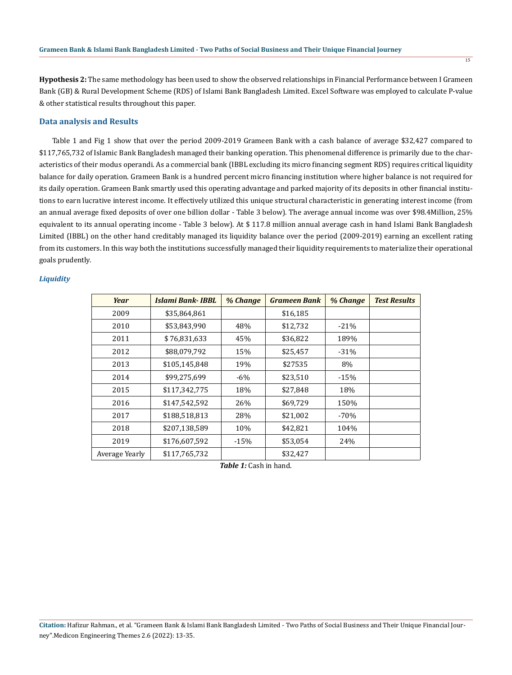**Hypothesis 2:** The same methodology has been used to show the observed relationships in Financial Performance between I Grameen Bank (GB) & Rural Development Scheme (RDS) of Islami Bank Bangladesh Limited. Excel Software was employed to calculate P-value & other statistical results throughout this paper.

## **Data analysis and Results**

 Table 1 and Fig 1 show that over the period 2009-2019 Grameen Bank with a cash balance of average \$32,427 compared to \$117,765,732 of Islamic Bank Bangladesh managed their banking operation. This phenomenal difference is primarily due to the characteristics of their modus operandi. As a commercial bank (IBBL excluding its micro financing segment RDS) requires critical liquidity balance for daily operation. Grameen Bank is a hundred percent micro financing institution where higher balance is not required for its daily operation. Grameen Bank smartly used this operating advantage and parked majority of its deposits in other financial institutions to earn lucrative interest income. It effectively utilized this unique structural characteristic in generating interest income (from an annual average fixed deposits of over one billion dollar - Table 3 below). The average annual income was over \$98.4Million, 25% equivalent to its annual operating income - Table 3 below). At \$ 117.8 million annual average cash in hand Islami Bank Bangladesh Limited (IBBL) on the other hand creditably managed its liquidity balance over the period (2009-2019) earning an excellent rating from its customers. In this way both the institutions successfully managed their liquidity requirements to materialize their operational goals prudently.

#### *Liquidity*

| Year           | Islami Bank- IBBL | % Change | <b>Grameen Bank</b> | % Change | <b>Test Results</b> |
|----------------|-------------------|----------|---------------------|----------|---------------------|
| 2009           | \$35,864,861      |          | \$16,185            |          |                     |
| 2010           | \$53,843,990      | 48%      | \$12,732            | $-21%$   |                     |
| 2011           | \$76,831,633      | 45%      | \$36,822            | 189%     |                     |
| 2012           | \$88,079,792      | 15%      | \$25,457            | $-31%$   |                     |
| 2013           | \$105,145,848     | 19%      | \$27535             | 8%       |                     |
| 2014           | \$99,275,699      | $-6\%$   | \$23,510            | $-15%$   |                     |
| 2015           | \$117,342,775     | 18%      | \$27,848            | 18%      |                     |
| 2016           | \$147,542,592     | 26%      | \$69,729            | 150%     |                     |
| 2017           | \$188,518,813     | 28%      | \$21,002            | $-70%$   |                     |
| 2018           | \$207,138,589     | 10%      | \$42,821            | 104%     |                     |
| 2019           | \$176,607,592     | $-15%$   | \$53,054            | 24%      |                     |
| Average Yearly | \$117,765,732     |          | \$32,427            |          |                     |

*Table 1:* Cash in hand.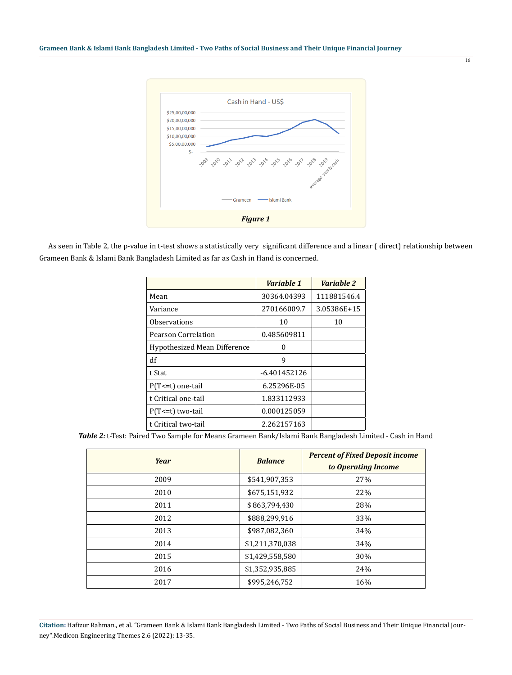

16

 As seen in Table 2, the p-value in t-test shows a statistically very significant difference and a linear ( direct) relationship between Grameen Bank & Islami Bank Bangladesh Limited as far as Cash in Hand is concerned.

|                              | Variable 1     | Variable 2  |
|------------------------------|----------------|-------------|
| Mean                         | 30364.04393    | 111881546.4 |
| Variance                     | 270166009.7    | 3.05386E+15 |
| Observations                 | 10             | 10          |
| Pearson Correlation          | 0.485609811    |             |
| Hypothesized Mean Difference | O              |             |
| df                           | 9              |             |
| t Stat                       | $-6.401452126$ |             |
| $P(T \le t)$ one-tail        | 6.25296E-05    |             |
| t Critical one-tail          | 1.833112933    |             |
| $P(T \le t)$ two-tail        | 0.000125059    |             |
| t Critical two-tail          | 2.262157163    |             |

*Table 2:* t-Test: Paired Two Sample for Means Grameen Bank/Islami Bank Bangladesh Limited - Cash in Hand

| <b>Year</b> | <b>Balance</b>  | <b>Percent of Fixed Deposit income</b><br>to Operating Income |
|-------------|-----------------|---------------------------------------------------------------|
| 2009        | \$541,907,353   | 27%                                                           |
| 2010        | \$675,151,932   | 22%                                                           |
| 2011        | \$863,794,430   | 28%                                                           |
| 2012        | \$888,299,916   | 33%                                                           |
| 2013        | \$987,082,360   | 34%                                                           |
| 2014        | \$1,211,370,038 | 34%                                                           |
| 2015        | \$1,429,558,580 | 30%                                                           |
| 2016        | \$1,352,935,885 | 24%                                                           |
| 2017        | \$995,246,752   | 16%                                                           |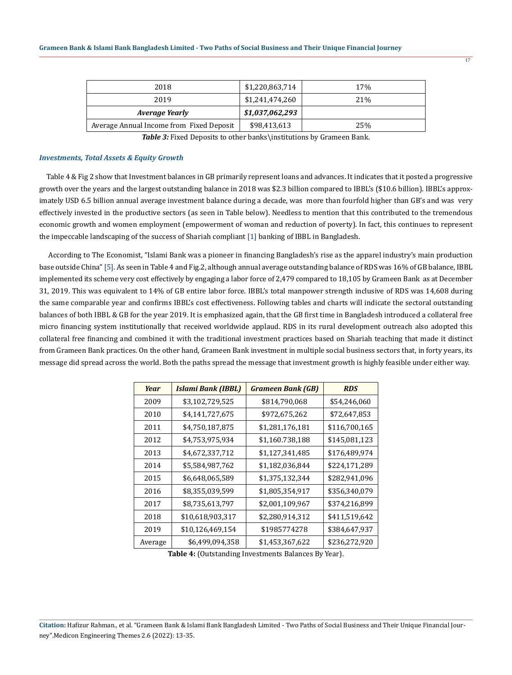| 2018                                     | \$1,220,863,714 | 17%             |
|------------------------------------------|-----------------|-----------------|
| 2019                                     | \$1,241,474,260 | 21 <sup>%</sup> |
| Average Yearly                           | \$1,037,062,293 |                 |
| Average Annual Income from Fixed Deposit | \$98,413,613    | 25%             |

Table 3: Fixed Deposits to other banks\institutions by Grameen Bank.

#### *Investments, Total Assets & Equity Growth*

 Table 4 & Fig 2 show that Investment balances in GB primarily represent loans and advances. It indicates that it posted a progressive growth over the years and the largest outstanding balance in 2018 was \$2.3 billion compared to IBBL's (\$10.6 billion). IBBL's approximately USD 6.5 billion annual average investment balance during a decade, was more than fourfold higher than GB's and was very effectively invested in the productive sectors (as seen in Table below). Needless to mention that this contributed to the tremendous economic growth and women employment (empowerment of woman and reduction of poverty). In fact, this continues to represent the impeccable landscaping of the success of Shariah compliant [1] banking of IBBL in Bangladesh.

 According to The Economist, "Islami Bank was a pioneer in financing Bangladesh's rise as the apparel industry's main production base outside China" [5]. As seen in Table 4 and Fig.2, although annual average outstanding balance of RDS was 16% of GB balance, IBBL implemented its scheme very cost effectively by engaging a labor force of 2,479 compared to 18,105 by Grameen Bank as at December 31, 2019. This was equivalent to 14% of GB entire labor force. IBBL's total manpower strength inclusive of RDS was 14,608 during the same comparable year and confirms IBBL's cost effectiveness. Following tables and charts will indicate the sectoral outstanding balances of both IBBL & GB for the year 2019. It is emphasized again, that the GB first time in Bangladesh introduced a collateral free micro financing system institutionally that received worldwide applaud. RDS in its rural development outreach also adopted this collateral free financing and combined it with the traditional investment practices based on Shariah teaching that made it distinct from Grameen Bank practices. On the other hand, Grameen Bank investment in multiple social business sectors that, in forty years, its message did spread across the world. Both the paths spread the message that investment growth is highly feasible under either way.

| Year    | <b>Islami Bank (IBBL)</b> | <b>Grameen Bank (GB)</b> | <b>RDS</b>    |
|---------|---------------------------|--------------------------|---------------|
| 2009    | \$3,102,729,525           | \$814,790,068            | \$54,246,060  |
| 2010    | \$4,141,727,675           | \$972,675,262            | \$72,647,853  |
| 2011    | \$4,750,187,875           | \$1,281,176,181          | \$116,700,165 |
| 2012    | \$4,753,975,934           | \$1,160.738,188          | \$145,081,123 |
| 2013    | \$4,672,337,712           | \$1,127,341,485          | \$176,489,974 |
| 2014    | \$5,584,987,762           | \$1,182,036,844          | \$224,171,289 |
| 2015    | \$6,648,065,589           | \$1,375,132,344          | \$282,941,096 |
| 2016    | \$8,355,039,599           | \$1,805,354,917          | \$356,340,079 |
| 2017    | \$8,735,613,797           | \$2,001,109,967          | \$374,216,899 |
| 2018    | \$10,618,903,317          | \$2,280,914,312          | \$411,519,642 |
| 2019    | \$10,126,469,154          | \$1985774278             | \$384,647,937 |
| Average | \$6,499,094,358           | \$1,453,367,622          | \$236,272,920 |

**Table 4:** (Outstanding Investments Balances By Year).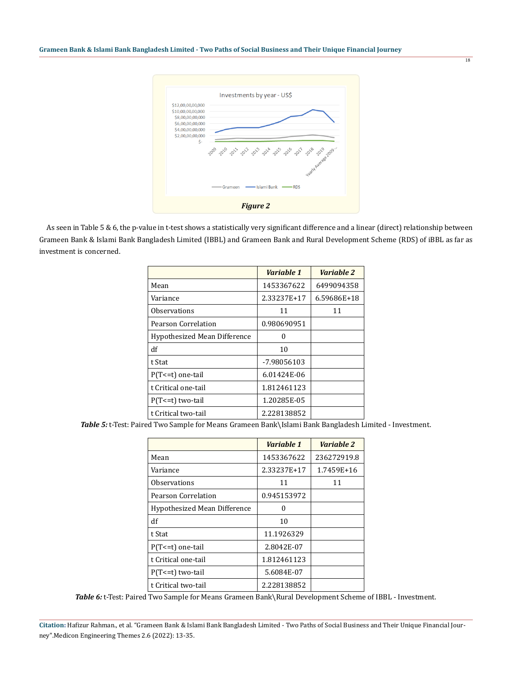

 As seen in Table 5 & 6, the p-value in t-test shows a statistically very significant difference and a linear (direct) relationship between Grameen Bank & Islami Bank Bangladesh Limited (IBBL) and Grameen Bank and Rural Development Scheme (RDS) of iBBL as far as investment is concerned.

|                              | Variable 1  | Variable 2  |
|------------------------------|-------------|-------------|
| Mean                         | 1453367622  | 6499094358  |
| Variance                     | 2.33237E+17 | 6.59686E+18 |
| Observations                 | 11          | 11          |
| Pearson Correlation          | 0.980690951 |             |
| Hypothesized Mean Difference | 0           |             |
| df                           | 10          |             |
| t Stat                       | -7.98056103 |             |
| $P(T \le t)$ one-tail        | 6.01424E-06 |             |
| t Critical one-tail          | 1.812461123 |             |
| $P(T \le t)$ two-tail        | 1.20285E-05 |             |
| t Critical two-tail          | 2.228138852 |             |

*Table 5:* t-Test: Paired Two Sample for Means Grameen Bank\Islami Bank Bangladesh Limited - Investment.

|                              | Variable 1  | Variable 2  |
|------------------------------|-------------|-------------|
| Mean                         | 1453367622  | 236272919.8 |
| Variance                     | 2.33237E+17 | 1.7459E+16  |
| <b>Observations</b>          | 11          | 11          |
| Pearson Correlation          | 0.945153972 |             |
| Hypothesized Mean Difference | U           |             |
| df                           | 10          |             |
| t Stat                       | 11.1926329  |             |
| $P(T \le t)$ one-tail        | 2.8042E-07  |             |
| t Critical one-tail          | 1.812461123 |             |
| $P(T \le t)$ two-tail        | 5.6084E-07  |             |
| t Critical two-tail          | 2.228138852 |             |

Table 6: t-Test: Paired Two Sample for Means Grameen Bank\Rural Development Scheme of IBBL - Investment.

**Citation:** Hafizur Rahman., et al. "Grameen Bank & Islami Bank Bangladesh Limited - Two Paths of Social Business and Their Unique Financial Journey".Medicon Engineering Themes 2.6 (2022): 13-35.

18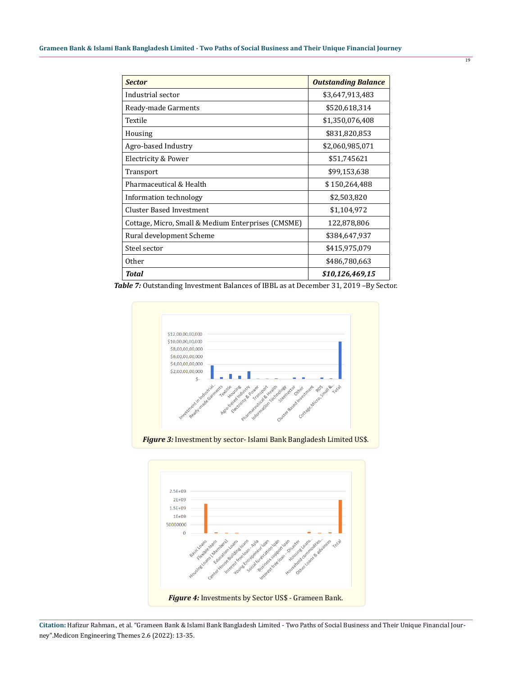| <b>Sector</b>                                      | <b>Outstanding Balance</b> |
|----------------------------------------------------|----------------------------|
| Industrial sector                                  | \$3,647,913,483            |
| Ready-made Garments                                | \$520,618,314              |
| Textile                                            | \$1,350,076,408            |
| Housing                                            | \$831,820,853              |
| Agro-based Industry                                | \$2,060,985,071            |
| Electricity & Power                                | \$51,745621                |
| Transport                                          | \$99,153,638               |
| Pharmaceutical & Health                            | \$150,264,488              |
| Information technology                             | \$2,503,820                |
| <b>Cluster Based Investment</b>                    | \$1,104,972                |
| Cottage, Micro, Small & Medium Enterprises (CMSME) | 122,878,806                |
| Rural development Scheme                           | \$384,647,937              |
| Steel sector                                       | \$415,975,079              |
| 0ther                                              | \$486,780,663              |
| Total                                              | \$10,126,469,15            |

*Table 7:* Outstanding Investment Balances of IBBL as at December 31, 2019 –By Sector.





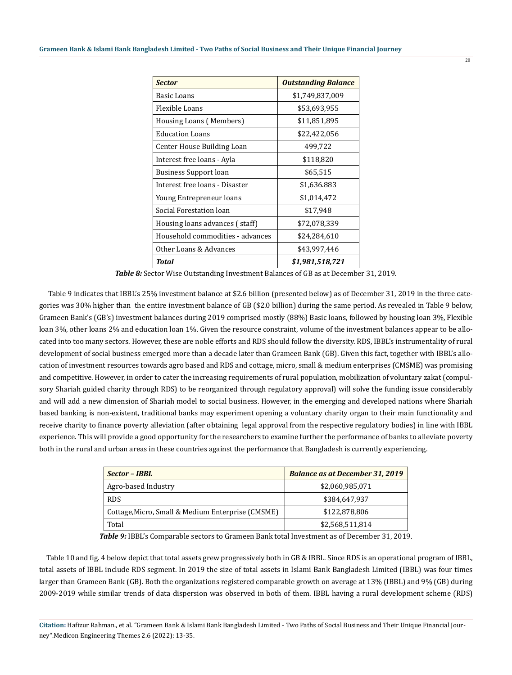| <b>Sector</b>                    | <b>Outstanding Balance</b> |
|----------------------------------|----------------------------|
| Basic Loans                      | \$1,749,837,009            |
| Flexible Loans                   | \$53,693,955               |
| Housing Loans (Members)          | \$11,851,895               |
| Education Loans                  | \$22,422,056               |
| Center House Building Loan       | 499,722                    |
| Interest free loans - Ayla       | \$118,820                  |
| Business Support loan            | \$65,515                   |
| Interest free loans - Disaster   | \$1,636.883                |
| Young Entrepreneur loans         | \$1,014,472                |
| Social Forestation loan          | \$17,948                   |
| Housing loans advances (staff)   | \$72,078,339               |
| Household commodities - advances | \$24,284,610               |
| Other Loans & Advances           | \$43,997,446               |
| Total                            | \$1,981,518,721            |

*Table 8:* Sector Wise Outstanding Investment Balances of GB as at December 31, 2019.

 Table 9 indicates that IBBL's 25% investment balance at \$2.6 billion (presented below) as of December 31, 2019 in the three categories was 30% higher than the entire investment balance of GB (\$2.0 billion) during the same period. As revealed in Table 9 below, Grameen Bank's (GB's) investment balances during 2019 comprised mostly (88%) Basic loans, followed by housing loan 3%, Flexible loan 3%, other loans 2% and education loan 1%. Given the resource constraint, volume of the investment balances appear to be allocated into too many sectors. However, these are noble efforts and RDS should follow the diversity. RDS, IBBL's instrumentality of rural development of social business emerged more than a decade later than Grameen Bank (GB). Given this fact, together with IBBL's allocation of investment resources towards agro based and RDS and cottage, micro, small & medium enterprises (CMSME) was promising and competitive. However, in order to cater the increasing requirements of rural population, mobilization of voluntary zakat (compulsory Shariah guided charity through RDS) to be reorganized through regulatory approval) will solve the funding issue considerably and will add a new dimension of Shariah model to social business. However, in the emerging and developed nations where Shariah based banking is non-existent, traditional banks may experiment opening a voluntary charity organ to their main functionality and receive charity to finance poverty alleviation (after obtaining legal approval from the respective regulatory bodies) in line with IBBL experience. This will provide a good opportunity for the researchers to examine further the performance of banks to alleviate poverty both in the rural and urban areas in these countries against the performance that Bangladesh is currently experiencing.

| Sector - IBBL                                     | <b>Balance as at December 31, 2019</b> |
|---------------------------------------------------|----------------------------------------|
| Agro-based Industry                               | \$2,060,985,071                        |
| <b>RDS</b>                                        | \$384,647,937                          |
| Cottage, Micro, Small & Medium Enterprise (CMSME) | \$122,878,806                          |
| Total                                             | \$2,568,511,814                        |

*Table 9:* IBBL's Comparable sectors to Grameen Bank total Investment as of December 31, 2019.

 Table 10 and fig. 4 below depict that total assets grew progressively both in GB & IBBL. Since RDS is an operational program of IBBL, total assets of IBBL include RDS segment. In 2019 the size of total assets in Islami Bank Bangladesh Limited (IBBL) was four times larger than Grameen Bank (GB). Both the organizations registered comparable growth on average at 13% (IBBL) and 9% (GB) during 2009-2019 while similar trends of data dispersion was observed in both of them. IBBL having a rural development scheme (RDS)

**Citation:** Hafizur Rahman., et al. "Grameen Bank & Islami Bank Bangladesh Limited - Two Paths of Social Business and Their Unique Financial Journey".Medicon Engineering Themes 2.6 (2022): 13-35.

 $\overline{20}$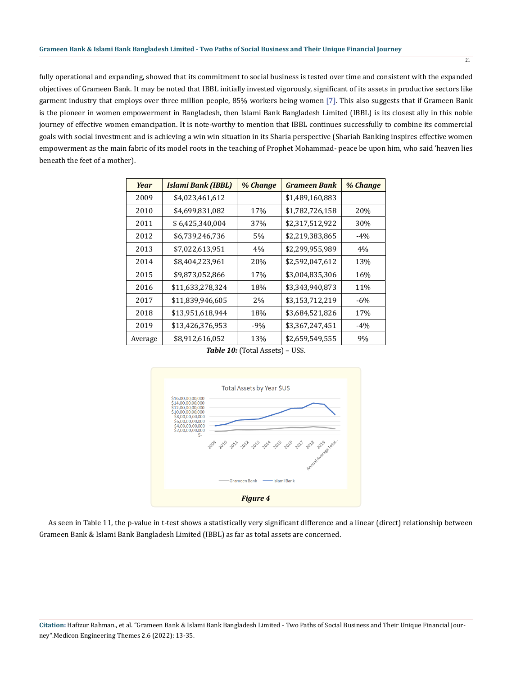fully operational and expanding, showed that its commitment to social business is tested over time and consistent with the expanded objectives of Grameen Bank. It may be noted that IBBL initially invested vigorously, significant of its assets in productive sectors like garment industry that employs over three million people, 85% workers being women [7]. This also suggests that if Grameen Bank is the pioneer in women empowerment in Bangladesh, then Islami Bank Bangladesh Limited (IBBL) is its closest ally in this noble journey of effective women emancipation. It is note-worthy to mention that IBBL continues successfully to combine its commercial goals with social investment and is achieving a win win situation in its Sharia perspective (Shariah Banking inspires effective women empowerment as the main fabric of its model roots in the teaching of Prophet Mohammad- peace be upon him, who said 'heaven lies beneath the feet of a mother).

| Year    | Islami Bank (IBBL) | % Change | <b>Grameen Bank</b> | % Change |
|---------|--------------------|----------|---------------------|----------|
| 2009    | \$4,023,461,612    |          | \$1,489,160,883     |          |
| 2010    | \$4,699,831,082    | 17%      | \$1,782,726,158     | 20%      |
| 2011    | \$6,425,340,004    | 37%      | \$2,317,512,922     | 30%      |
| 2012    | \$6,739,246,736    | 5%       | \$2,219,383,865     | $-4\%$   |
| 2013    | \$7,022,613,951    | 4%       | \$2,299,955,989     | 4%       |
| 2014    | \$8,404,223,961    | 20%      | \$2,592,047,612     | 13%      |
| 2015    | \$9,873,052,866    | 17%      | \$3,004,835,306     | 16%      |
| 2016    | \$11,633,278,324   | 18%      | \$3,343,940,873     | 11%      |
| 2017    | \$11,839,946,605   | 2%       | \$3,153,712,219     | $-6\%$   |
| 2018    | \$13,951,618,944   | 18%      | \$3,684,521,826     | 17%      |
| 2019    | \$13,426,376,953   | $-9%$    | \$3,367,247,451     | $-4%$    |
| Average | \$8,912,616,052    | 13%      | \$2,659,549,555     | 9%       |

*Table 10:* (Total Assets) – US\$.



 As seen in Table 11, the p-value in t-test shows a statistically very significant difference and a linear (direct) relationship between Grameen Bank & Islami Bank Bangladesh Limited (IBBL) as far as total assets are concerned.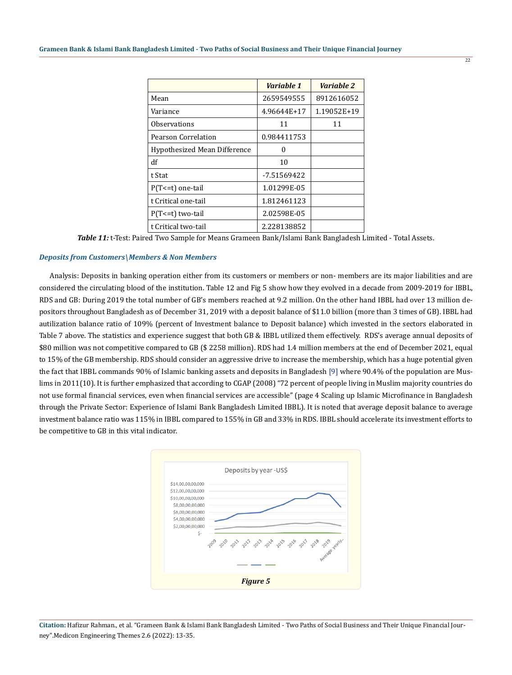|                              | Variable 1    | Variable 2  |
|------------------------------|---------------|-------------|
| Mean                         | 2659549555    | 8912616052  |
| Variance                     | 4.96644E+17   | 1.19052E+19 |
| <b>Observations</b>          | 11            | 11          |
| Pearson Correlation          | 0.984411753   |             |
| Hypothesized Mean Difference | 0             |             |
| df                           | 10            |             |
| t Stat                       | $-7.51569422$ |             |
| P(T <= t) one-tail           | 1.01299E-05   |             |
| t Critical one-tail          | 1.812461123   |             |
| $P(T \le t)$ two-tail        | 2.02598E-05   |             |
| t Critical two-tail          | 2.228138852   |             |

*Table 11:* t-Test: Paired Two Sample for Means Grameen Bank/Islami Bank Bangladesh Limited - Total Assets.

#### *Deposits from Customers\Members & Non Members*

 Analysis: Deposits in banking operation either from its customers or members or non- members are its major liabilities and are considered the circulating blood of the institution. Table 12 and Fig 5 show how they evolved in a decade from 2009-2019 for IBBL, RDS and GB: During 2019 the total number of GB's members reached at 9.2 million. On the other hand IBBL had over 13 million depositors throughout Bangladesh as of December 31, 2019 with a deposit balance of \$11.0 billion (more than 3 times of GB). IBBL had autilization balance ratio of 109% (percent of Investment balance to Deposit balance) which invested in the sectors elaborated in Table 7 above. The statistics and experience suggest that both GB & IBBL utilized them effectively. RDS's average annual deposits of \$80 million was not competitive compared to GB (\$ 2258 million). RDS had 1.4 million members at the end of December 2021, equal to 15% of the GB membership. RDS should consider an aggressive drive to increase the membership, which has a huge potential given the fact that IBBL commands 90% of Islamic banking assets and deposits in Bangladesh [9] where 90.4% of the population are Muslims in 2011(10). It is further emphasized that according to CGAP (2008) "72 percent of people living in Muslim majority countries do not use formal financial services, even when financial services are accessible" (page 4 Scaling up Islamic Microfinance in Bangladesh through the Private Sector: Experience of Islami Bank Bangladesh Limited IBBL). It is noted that average deposit balance to average investment balance ratio was 115% in IBBL compared to 155% in GB and 33% in RDS. IBBL should accelerate its investment efforts to be competitive to GB in this vital indicator.



**Citation:** Hafizur Rahman., et al. "Grameen Bank & Islami Bank Bangladesh Limited - Two Paths of Social Business and Their Unique Financial Journey".Medicon Engineering Themes 2.6 (2022): 13-35.

 $\overline{22}$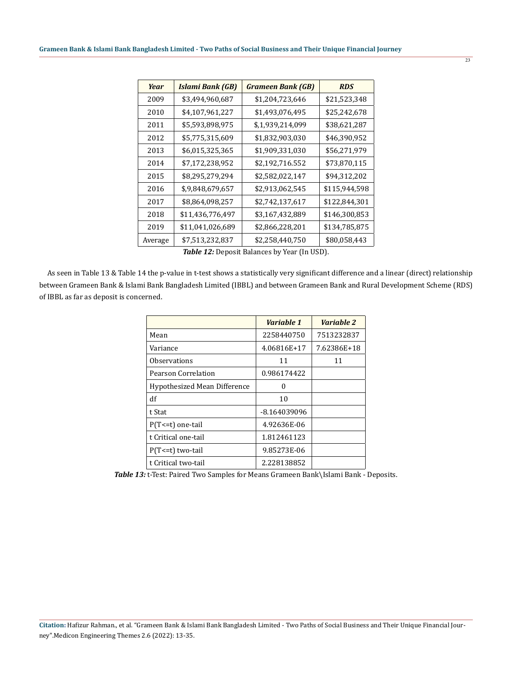| Year    | <b>Islami Bank (GB)</b> | <b>Grameen Bank (GB)</b> | <b>RDS</b>    |
|---------|-------------------------|--------------------------|---------------|
| 2009    | \$3,494,960,687         | \$1,204,723,646          | \$21,523,348  |
| 2010    | \$4,107,961,227         | \$1,493,076,495          | \$25,242,678  |
| 2011    | \$5,593,898,975         | \$,1,939,214,099         | \$38,621,287  |
| 2012    | \$5,775,315,609         | \$1,832,903,030          | \$46,390,952  |
| 2013    | \$6,015,325,365         | \$1,909,331,030          | \$56,271,979  |
| 2014    | \$7,172,238,952         | \$2,192,716.552          | \$73,870,115  |
| 2015    | \$8,295,279,294         | \$2,582,022,147          | \$94,312,202  |
| 2016    | \$,9,848,679,657        | \$2,913,062,545          | \$115,944,598 |
| 2017    | \$8,864,098,257         | \$2,742,137,617          | \$122,844,301 |
| 2018    | \$11,436,776,497        | \$3,167,432,889          | \$146,300,853 |
| 2019    | \$11,041,026,689        | \$2,866,228,201          | \$134,785,875 |
| Average | \$7,513,232,837         | \$2,258,440,750          | \$80,058,443  |

*Table 12:* Deposit Balances by Year (In USD).

 As seen in Table 13 & Table 14 the p-value in t-test shows a statistically very significant difference and a linear (direct) relationship between Grameen Bank & Islami Bank Bangladesh Limited (IBBL) and between Grameen Bank and Rural Development Scheme (RDS) of IBBL as far as deposit is concerned.

|                              | Variable 1   | Variable 2  |
|------------------------------|--------------|-------------|
| Mean                         | 2258440750   | 7513232837  |
| Variance                     | 4.06816E+17  | 7.62386E+18 |
| Observations                 | 11           | 11          |
| <b>Pearson Correlation</b>   | 0.986174422  |             |
| Hypothesized Mean Difference | 0            |             |
| df                           | 10           |             |
| t Stat                       | -8.164039096 |             |
| $P(T<=t)$ one-tail           | 4.92636E-06  |             |
| t Critical one-tail          | 1.812461123  |             |
| P(T<=t) two-tail             | 9.85273E-06  |             |
| t Critical two-tail          | 2.228138852  |             |

*Table 13:* t-Test: Paired Two Samples for Means Grameen Bank\Islami Bank - Deposits.

**Citation:** Hafizur Rahman., et al. "Grameen Bank & Islami Bank Bangladesh Limited - Two Paths of Social Business and Their Unique Financial Journey".Medicon Engineering Themes 2.6 (2022): 13-35.

23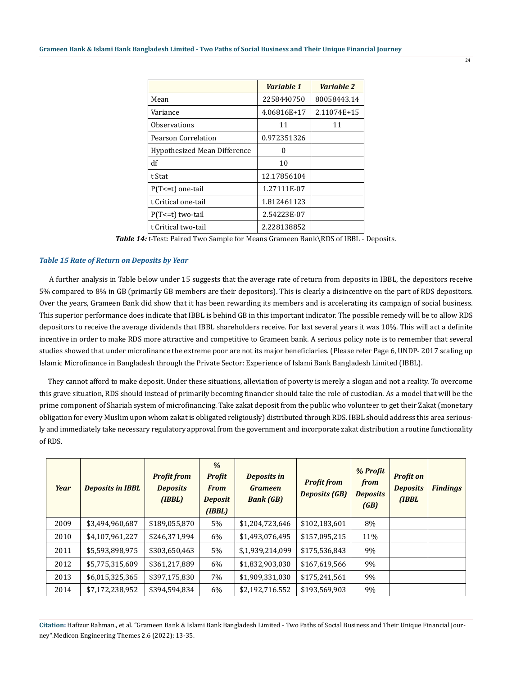|                              | Variable 1  | Variable 2  |
|------------------------------|-------------|-------------|
| Mean                         | 2258440750  | 80058443.14 |
| Variance                     | 4.06816E+17 | 2.11074E+15 |
| <b>Observations</b>          | 11          | 11          |
| Pearson Correlation          | 0.972351326 |             |
| Hypothesized Mean Difference | O           |             |
| df                           | 10          |             |
| t Stat                       | 12.17856104 |             |
| $P(T \le t)$ one-tail        | 1.27111E-07 |             |
| t Critical one-tail          | 1.812461123 |             |
| $P(T \le t)$ two-tail        | 2.54223E-07 |             |
| t Critical two-tail          | 2.228138852 |             |

*Table 14:* t-Test: Paired Two Sample for Means Grameen Bank\RDS of IBBL - Deposits.

#### *Table 15 Rate of Return on Deposits by Year*

 A further analysis in Table below under 15 suggests that the average rate of return from deposits in IBBL, the depositors receive 5% compared to 8% in GB (primarily GB members are their depositors). This is clearly a disincentive on the part of RDS depositors. Over the years, Grameen Bank did show that it has been rewarding its members and is accelerating its campaign of social business. This superior performance does indicate that IBBL is behind GB in this important indicator. The possible remedy will be to allow RDS depositors to receive the average dividends that IBBL shareholders receive. For last several years it was 10%. This will act a definite incentive in order to make RDS more attractive and competitive to Grameen bank. A serious policy note is to remember that several studies showed that under microfinance the extreme poor are not its major beneficiaries. (Please refer Page 6, UNDP- 2017 scaling up Islamic Microfinance in Bangladesh through the Private Sector: Experience of Islami Bank Bangladesh Limited (IBBL).

 They cannot afford to make deposit. Under these situations, alleviation of poverty is merely a slogan and not a reality. To overcome this grave situation, RDS should instead of primarily becoming financier should take the role of custodian. As a model that will be the prime component of Shariah system of microfinancing. Take zakat deposit from the public who volunteer to get their Zakat (monetary obligation for every Muslim upon whom zakat is obligated religiously) distributed through RDS. IBBL should address this area seriously and immediately take necessary regulatory approval from the government and incorporate zakat distribution a routine functionality of RDS.

| <b>Year</b> | <b>Deposits in IBBL</b> | <b>Profit from</b><br><b>Deposits</b><br>(IBBL) | $\frac{9}{6}$<br><b>Profit</b><br><b>From</b><br><b>Deposit</b><br>(IBBL) | <b>Deposits in</b><br><b>Grameen</b><br><b>Bank (GB)</b> | <b>Profit from</b><br><b>Deposits (GB)</b> | % Profit<br>from<br><b>Deposits</b><br>(GB) | <b>Profit on</b><br><b>Deposits</b><br>(IBBL | <b>Findings</b> |
|-------------|-------------------------|-------------------------------------------------|---------------------------------------------------------------------------|----------------------------------------------------------|--------------------------------------------|---------------------------------------------|----------------------------------------------|-----------------|
| 2009        | \$3,494,960,687         | \$189,055,870                                   | 5%                                                                        | \$1,204,723,646                                          | \$102,183,601                              | 8%                                          |                                              |                 |
| 2010        | \$4,107,961,227         | \$246,371,994                                   | 6%                                                                        | \$1,493,076,495                                          | \$157,095,215                              | 11%                                         |                                              |                 |
| 2011        | \$5,593,898,975         | \$303,650,463                                   | 5%                                                                        | \$,1,939,214,099                                         | \$175,536,843                              | 9%                                          |                                              |                 |
| 2012        | \$5,775,315,609         | \$361,217,889                                   | 6%                                                                        | \$1,832,903,030                                          | \$167,619,566                              | 9%                                          |                                              |                 |
| 2013        | \$6,015,325,365         | \$397,175,830                                   | 7%                                                                        | \$1,909,331,030                                          | \$175,241,561                              | 9%                                          |                                              |                 |
| 2014        | \$7,172,238,952         | \$394,594,834                                   | 6%                                                                        | \$2,192,716.552                                          | \$193,569,903                              | 9%                                          |                                              |                 |

**Citation:** Hafizur Rahman., et al. "Grameen Bank & Islami Bank Bangladesh Limited - Two Paths of Social Business and Their Unique Financial Journey".Medicon Engineering Themes 2.6 (2022): 13-35.

 $\overline{24}$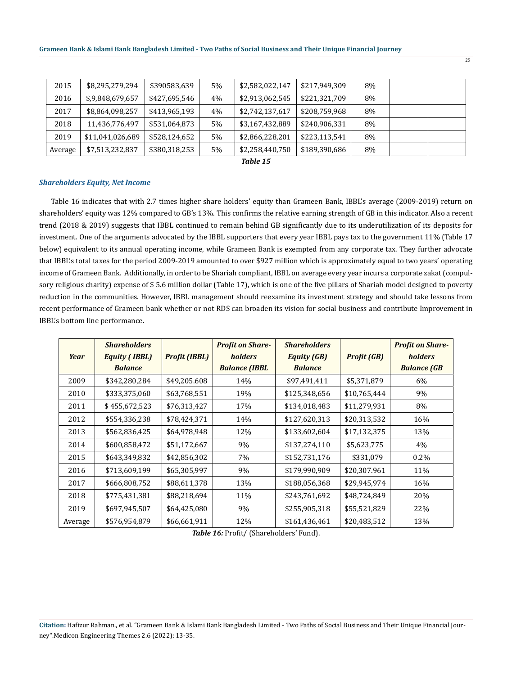|         | \$7,513,232,837  | \$380,318,253 |    |                 |               |    |  |
|---------|------------------|---------------|----|-----------------|---------------|----|--|
| Average |                  |               | 5% | \$2,258,440,750 | \$189,390,686 | 8% |  |
| 2019    | \$11,041,026,689 | \$528,124,652 | 5% | \$2,866,228,201 | \$223,113,541 | 8% |  |
| 2018    | 11,436,776,497   | \$531,064,873 | 5% | \$3,167,432,889 | \$240,906,331 | 8% |  |
| 2017    | \$8,864,098,257  | \$413,965,193 | 4% | \$2,742,137,617 | \$208,759,968 | 8% |  |
| 2016    | \$,9,848,679,657 | \$427,695,546 | 4% | \$2,913,062,545 | \$221,321,709 | 8% |  |
| 2015    | \$8,295,279,294  | \$390583,639  | 5% | \$2,582,022,147 | \$217,949,309 | 8% |  |

*Table 15*

#### *Shareholders Equity, Net Income*

 Table 16 indicates that with 2.7 times higher share holders' equity than Grameen Bank, IBBL's average (2009-2019) return on shareholders' equity was 12% compared to GB's 13%. This confirms the relative earning strength of GB in this indicator. Also a recent trend (2018 & 2019) suggests that IBBL continued to remain behind GB significantly due to its underutilization of its deposits for investment. One of the arguments advocated by the IBBL supporters that every year IBBL pays tax to the government 11% (Table 17 below) equivalent to its annual operating income, while Grameen Bank is exempted from any corporate tax. They further advocate that IBBL's total taxes for the period 2009-2019 amounted to over \$927 million which is approximately equal to two years' operating income of Grameen Bank. Additionally, in order to be Shariah compliant, IBBL on average every year incurs a corporate zakat (compulsory religious charity) expense of \$ 5.6 million dollar (Table 17), which is one of the five pillars of Shariah model designed to poverty reduction in the communities. However, IBBL management should reexamine its investment strategy and should take lessons from recent performance of Grameen bank whether or not RDS can broaden its vision for social business and contribute Improvement in IBBL's bottom line performance.

| Year    | <b>Shareholders</b><br><b>Equity (IBBL)</b><br><b>Balance</b> | <b>Profit (IBBL)</b> | <b>Profit on Share-</b><br><i>holders</i><br><b>Balance (IBBL</b> | <b>Shareholders</b><br><b>Equity (GB)</b><br><b>Balance</b> | <b>Profit (GB)</b> | <b>Profit on Share-</b><br>holders<br><b>Balance</b> (GB |
|---------|---------------------------------------------------------------|----------------------|-------------------------------------------------------------------|-------------------------------------------------------------|--------------------|----------------------------------------------------------|
| 2009    | \$342,280,284                                                 | \$49,205.608         | 14%                                                               | \$97,491,411                                                | \$5,371,879        | 6%                                                       |
| 2010    | \$333,375,060                                                 | \$63,768,551         | 19%                                                               | \$125,348,656                                               | \$10,765,444       | 9%                                                       |
| 2011    | \$455,672,523                                                 | \$76,313,427         | 17%                                                               | \$134,018,483                                               | \$11,279,931       | 8%                                                       |
| 2012    | \$554,336,238                                                 | \$78,424,371         | 14%                                                               | \$127,620,313                                               | \$20,313,532       | 16%                                                      |
| 2013    | \$562,836,425                                                 | \$64,978,948         | 12%                                                               | \$133,602,604                                               | \$17,132,375       | 13%                                                      |
| 2014    | \$600,858,472                                                 | \$51,172,667         | 9%                                                                | \$137,274,110                                               | \$5,623,775        | 4%                                                       |
| 2015    | \$643,349,832                                                 | \$42,856,302         | 7%                                                                | \$152,731,176                                               | \$331,079          | $0.2\%$                                                  |
| 2016    | \$713,609,199                                                 | \$65,305,997         | 9%                                                                | \$179,990,909                                               | \$20,307.961       | 11%                                                      |
| 2017    | \$666,808,752                                                 | \$88,611,378         | 13%                                                               | \$188,056,368                                               | \$29,945,974       | 16%                                                      |
| 2018    | \$775,431,381                                                 | \$88,218,694         | 11%                                                               | \$243,761,692                                               | \$48,724,849       | 20%                                                      |
| 2019    | \$697,945,507                                                 | \$64,425,080         | 9%                                                                | \$255,905,318                                               | \$55,521,829       | 22%                                                      |
| Average | \$576,954,879                                                 | \$66,661,911         | 12%                                                               | \$161,436,461                                               | \$20,483,512       | 13%                                                      |

*Table 16:* Profit/ (Shareholders' Fund).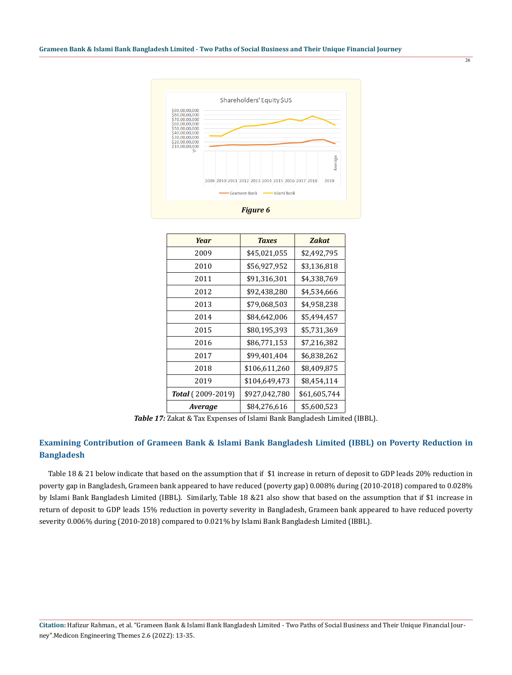

| Year              | <b>Taxes</b>  | <b>Zakat</b> |
|-------------------|---------------|--------------|
| 2009              | \$45,021,055  | \$2,492,795  |
| 2010              | \$56,927,952  | \$3,136,818  |
| 2011              | \$91,316,301  | \$4,338,769  |
| 2012              | \$92,438,280  | \$4,534,666  |
| 2013              | \$79,068,503  | \$4,958,238  |
| 2014              | \$84,642,006  | \$5,494,457  |
| 2015              | \$80,195,393  | \$5,731,369  |
| 2016              | \$86,771,153  | \$7,216,382  |
| 2017              | \$99,401,404  | \$6,838,262  |
| 2018              | \$106,611,260 | \$8,409,875  |
| 2019              | \$104,649,473 | \$8,454,114  |
| Total (2009-2019) | \$927,042,780 | \$61,605,744 |
| Average           | \$84,276,616  | \$5,600,523  |

*Table 17:* Zakat & Tax Expenses of Islami Bank Bangladesh Limited (IBBL).

## **Examining Contribution of Grameen Bank & Islami Bank Bangladesh Limited (IBBL) on Poverty Reduction in Bangladesh**

 Table 18 & 21 below indicate that based on the assumption that if \$1 increase in return of deposit to GDP leads 20% reduction in poverty gap in Bangladesh, Grameen bank appeared to have reduced (poverty gap) 0.008% during (2010-2018) compared to 0.028% by Islami Bank Bangladesh Limited (IBBL). Similarly, Table 18 &21 also show that based on the assumption that if \$1 increase in return of deposit to GDP leads 15% reduction in poverty severity in Bangladesh, Grameen bank appeared to have reduced poverty severity 0.006% during (2010-2018) compared to 0.021% by Islami Bank Bangladesh Limited (IBBL).

 $\overline{26}$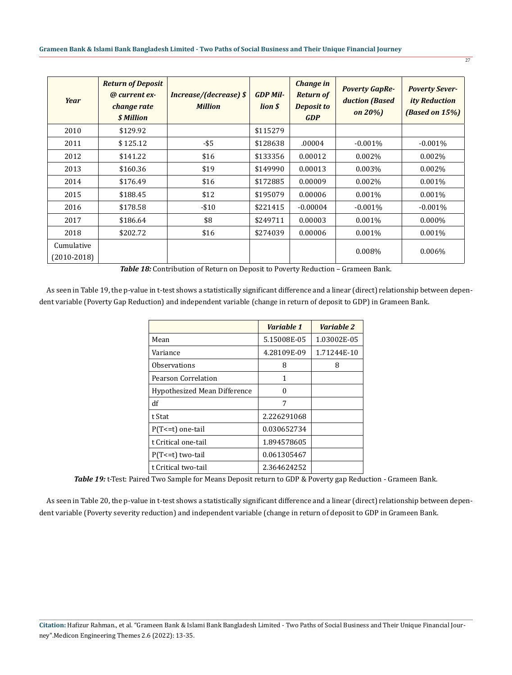#### **Grameen Bank & Islami Bank Bangladesh Limited - Two Paths of Social Business and Their Unique Financial Journey**

| Year                        | <b>Return of Deposit</b><br>@ current ex-<br>change rate<br>\$ Million | <b>Increase/(decrease) \$</b><br><b>Million</b> | <b>GDP Mil-</b><br>lion \$ | <b>Change in</b><br><b>Return of</b><br><b>Deposit to</b><br><b>GDP</b> | <b>Poverty GapRe-</b><br>duction (Based<br>on $20\%$ ) | <b>Poverty Sever-</b><br><b>ity Reduction</b><br>(Based on 15%) |
|-----------------------------|------------------------------------------------------------------------|-------------------------------------------------|----------------------------|-------------------------------------------------------------------------|--------------------------------------------------------|-----------------------------------------------------------------|
| 2010                        | \$129.92                                                               |                                                 | \$115279                   |                                                                         |                                                        |                                                                 |
| 2011                        | \$125.12                                                               | $-$ \$5                                         | \$128638                   | .00004                                                                  | $-0.001%$                                              | $-0.001%$                                                       |
| 2012                        | \$141.22                                                               | \$16                                            | \$133356                   | 0.00012                                                                 | 0.002%                                                 | $0.002\%$                                                       |
| 2013                        | \$160.36                                                               | \$19                                            | \$149990                   | 0.00013                                                                 | 0.003%                                                 | 0.002%                                                          |
| 2014                        | \$176.49                                                               | \$16                                            | \$172885                   | 0.00009                                                                 | 0.002%                                                 | $0.001\%$                                                       |
| 2015                        | \$188.45                                                               | \$12                                            | \$195079                   | 0.00006                                                                 | 0.001%                                                 | $0.001\%$                                                       |
| 2016                        | \$178.58                                                               | $-510$                                          | \$221415                   | $-0.00004$                                                              | $-0.001%$                                              | $-0.001%$                                                       |
| 2017                        | \$186.64                                                               | \$8                                             | \$249711                   | 0.00003                                                                 | 0.001%                                                 | $0.000\%$                                                       |
| 2018                        | \$202.72                                                               | \$16                                            | \$274039                   | 0.00006                                                                 | 0.001%                                                 | $0.001\%$                                                       |
| Cumulative<br>$(2010-2018)$ |                                                                        |                                                 |                            |                                                                         | $0.008\%$                                              | $0.006\%$                                                       |

 $\overline{27}$ 

*Table 18:* Contribution of Return on Deposit to Poverty Reduction – Grameen Bank.

 As seen in Table 19, the p-value in t-test shows a statistically significant difference and a linear (direct) relationship between dependent variable (Poverty Gap Reduction) and independent variable (change in return of deposit to GDP) in Grameen Bank.

|                              | Variable 1  | Variable 2  |
|------------------------------|-------------|-------------|
| Mean                         | 5.15008E-05 | 1.03002E-05 |
| Variance                     | 4.28109E-09 | 1.71244E-10 |
| <b>Observations</b>          | 8           | 8           |
| Pearson Correlation          | 1           |             |
| Hypothesized Mean Difference | O           |             |
| df                           | 7           |             |
| t Stat                       | 2.226291068 |             |
| P(T <= t) one-tail           | 0.030652734 |             |
| t Critical one-tail          | 1.894578605 |             |
| $P(T \le t)$ two-tail        | 0.061305467 |             |
| t Critical two-tail          | 2.364624252 |             |

*Table 19:* t-Test: Paired Two Sample for Means Deposit return to GDP & Poverty gap Reduction - Grameen Bank.

 As seen in Table 20, the p-value in t-test shows a statistically significant difference and a linear (direct) relationship between dependent variable (Poverty severity reduction) and independent variable (change in return of deposit to GDP in Grameen Bank.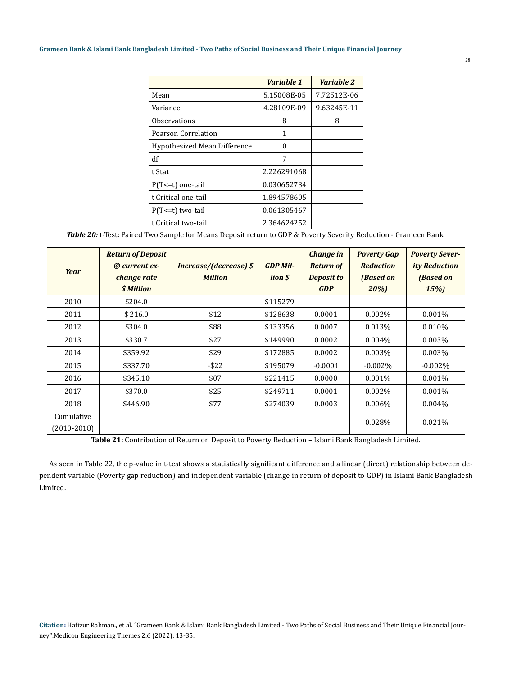|                                     | Variable 1  | Variable 2  |
|-------------------------------------|-------------|-------------|
| Mean                                | 5.15008E-05 | 7.72512E-06 |
| Variance                            | 4.28109E-09 | 9.63245E-11 |
| <b>Observations</b>                 | 8           | 8           |
| Pearson Correlation                 | 1           |             |
| <b>Hypothesized Mean Difference</b> | O           |             |
| df                                  | 7           |             |
| t Stat                              | 2.226291068 |             |
| $P(T=1)$ one-tail                   | 0.030652734 |             |
| t Critical one-tail                 | 1.894578605 |             |
| $P(T \le t)$ two-tail               | 0.061305467 |             |
| t Critical two-tail                 | 2.364624252 |             |

*Table 20:* t-Test: Paired Two Sample for Means Deposit return to GDP & Poverty Severity Reduction - Grameen Bank.

| Year                        | <b>Return of Deposit</b><br>@ current ex-<br>change rate<br>\$ Million | <b>Increase/(decrease) \$</b><br><b>Million</b> | <b>GDP Mil-</b><br>lion \$ | <b>Change</b> in<br><b>Return of</b><br><b>Deposit to</b><br><b>GDP</b> | <b>Poverty Gap</b><br><b>Reduction</b><br>(Based on<br>20%) | <b>Poverty Sever-</b><br><i>ity Reduction</i><br>(Based on<br>15%) |
|-----------------------------|------------------------------------------------------------------------|-------------------------------------------------|----------------------------|-------------------------------------------------------------------------|-------------------------------------------------------------|--------------------------------------------------------------------|
| 2010                        | \$204.0                                                                |                                                 | \$115279                   |                                                                         |                                                             |                                                                    |
| 2011                        | \$216.0                                                                | \$12                                            | \$128638                   | 0.0001                                                                  | $0.002\%$                                                   | $0.001\%$                                                          |
| 2012                        | \$304.0                                                                | \$88                                            | \$133356                   | 0.0007                                                                  | 0.013%                                                      | 0.010%                                                             |
| 2013                        | \$330.7                                                                | \$27                                            | \$149990                   | 0.0002                                                                  | $0.004\%$                                                   | $0.003\%$                                                          |
| 2014                        | \$359.92                                                               | \$29                                            | \$172885                   | 0.0002                                                                  | $0.003\%$                                                   | 0.003%                                                             |
| 2015                        | \$337.70                                                               | $-$ \$22                                        | \$195079                   | $-0.0001$                                                               | $-0.002\%$                                                  | $-0.002\%$                                                         |
| 2016                        | \$345.10                                                               | \$07                                            | \$221415                   | 0.0000                                                                  | $0.001\%$                                                   | 0.001%                                                             |
| 2017                        | \$370.0                                                                | \$25                                            | \$249711                   | 0.0001                                                                  | 0.002%                                                      | 0.001%                                                             |
| 2018                        | \$446.90                                                               | \$77                                            | \$274039                   | 0.0003                                                                  | 0.006%                                                      | 0.004%                                                             |
| Cumulative<br>$(2010-2018)$ |                                                                        |                                                 |                            |                                                                         | 0.028%                                                      | 0.021%                                                             |

**Table 21:** Contribution of Return on Deposit to Poverty Reduction – Islami Bank Bangladesh Limited.

 As seen in Table 22, the p-value in t-test shows a statistically significant difference and a linear (direct) relationship between dependent variable (Poverty gap reduction) and independent variable (change in return of deposit to GDP) in Islami Bank Bangladesh Limited.

28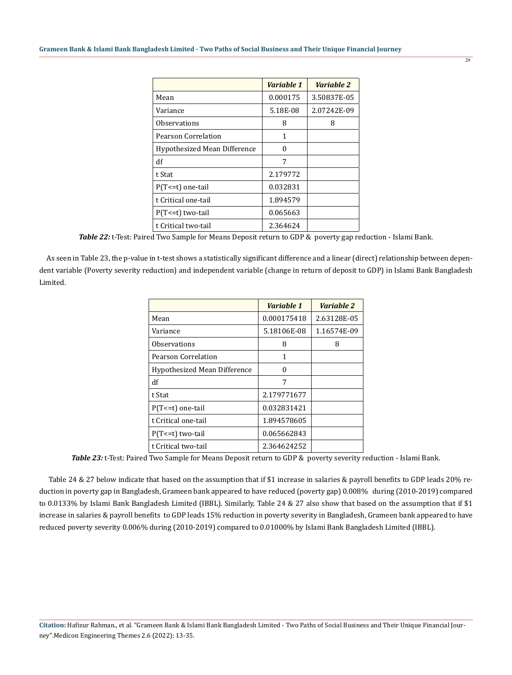|                              | Variable 1 | Variable 2  |
|------------------------------|------------|-------------|
| Mean                         | 0.000175   | 3.50837E-05 |
| Variance                     | 5.18E-08   | 2.07242E-09 |
| <b>Observations</b>          | 8          | 8           |
| Pearson Correlation          | 1          |             |
| Hypothesized Mean Difference | O          |             |
| df                           | 7          |             |
| t Stat                       | 2.179772   |             |
| $P(T<=t)$ one-tail           | 0.032831   |             |
| t Critical one-tail          | 1.894579   |             |
| $P(T \le t)$ two-tail        | 0.065663   |             |
| t Critical two-tail          | 2.364624   |             |

*Table 22:* t-Test: Paired Two Sample for Means Deposit return to GDP & poverty gap reduction - Islami Bank.

 As seen in Table 23, the p-value in t-test shows a statistically significant difference and a linear (direct) relationship between dependent variable (Poverty severity reduction) and independent variable (change in return of deposit to GDP) in Islami Bank Bangladesh Limited.

|                              | Variable 1  | Variable 2  |
|------------------------------|-------------|-------------|
| Mean                         | 0.000175418 | 2.63128E-05 |
| Variance                     | 5.18106E-08 | 1.16574E-09 |
| Observations                 | 8           | 8           |
| Pearson Correlation          | 1           |             |
| Hypothesized Mean Difference | $\Omega$    |             |
| df                           | 7           |             |
| t Stat                       | 2.179771677 |             |
| $P(T=1)$ one-tail            | 0.032831421 |             |
| t Critical one-tail          | 1.894578605 |             |
| $P(T \le t)$ two-tail        | 0.065662843 |             |
| t Critical two-tail          | 2.364624252 |             |

*Table 23:* t-Test: Paired Two Sample for Means Deposit return to GDP & poverty severity reduction - Islami Bank.

 Table 24 & 27 below indicate that based on the assumption that if \$1 increase in salaries & payroll benefits to GDP leads 20% reduction in poverty gap in Bangladesh, Grameen bank appeared to have reduced (poverty gap) 0.008% during (2010-2019) compared to 0.0133% by Islami Bank Bangladesh Limited (IBBL). Similarly, Table 24 & 27 also show that based on the assumption that if \$1 increase in salaries & payroll benefits to GDP leads 15% reduction in poverty severity in Bangladesh, Grameen bank appeared to have reduced poverty severity 0.006% during (2010-2019) compared to 0.01000% by Islami Bank Bangladesh Limited (IBBL).

**Citation:** Hafizur Rahman., et al. "Grameen Bank & Islami Bank Bangladesh Limited - Two Paths of Social Business and Their Unique Financial Journey".Medicon Engineering Themes 2.6 (2022): 13-35.

 $\overline{29}$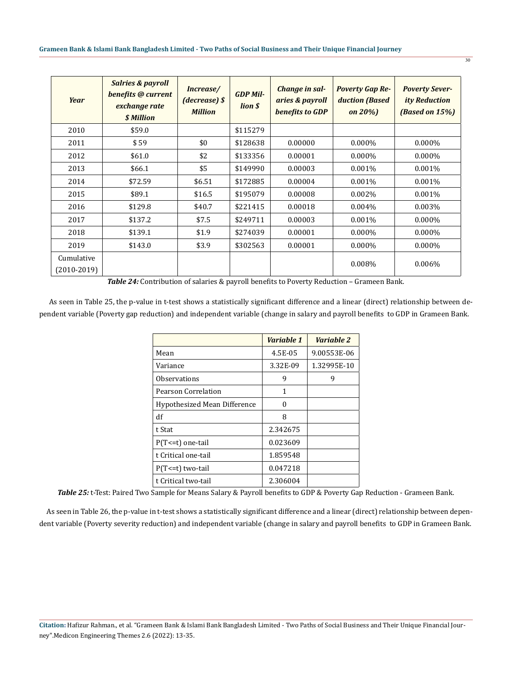#### **Grameen Bank & Islami Bank Bangladesh Limited - Two Paths of Social Business and Their Unique Financial Journey**

| Year                        | <b>Salries &amp; payroll</b><br>benefits @ current<br>exchange rate<br>\$ Million | Increase/<br>$(decrease)$ \$<br><b>Million</b> | <b>GDP Mil-</b><br>lion \$ | Change in sal-<br>aries & payroll<br>benefits to GDP | <b>Poverty Gap Re-</b><br>duction (Based<br>on $20\%$ ) | <b>Poverty Sever-</b><br><i>ity Reduction</i><br>(Based on 15%) |
|-----------------------------|-----------------------------------------------------------------------------------|------------------------------------------------|----------------------------|------------------------------------------------------|---------------------------------------------------------|-----------------------------------------------------------------|
| 2010                        | \$59.0                                                                            |                                                | \$115279                   |                                                      |                                                         |                                                                 |
| 2011                        | \$59                                                                              | \$0                                            | \$128638                   | 0.00000                                              | $0.000\%$                                               | $0.000\%$                                                       |
| 2012                        | \$61.0                                                                            | \$2                                            | \$133356                   | 0.00001                                              | $0.000\%$                                               | $0.000\%$                                                       |
| 2013                        | \$66.1                                                                            | \$5                                            | \$149990                   | 0.00003                                              | $0.001\%$                                               | $0.001\%$                                                       |
| 2014                        | \$72.59                                                                           | \$6.51                                         | \$172885                   | 0.00004                                              | 0.001%                                                  | 0.001%                                                          |
| 2015                        | \$89.1                                                                            | \$16.5                                         | \$195079                   | 0.00008                                              | 0.002%                                                  | $0.001\%$                                                       |
| 2016                        | \$129.8                                                                           | \$40.7                                         | \$221415                   | 0.00018                                              | $0.004\%$                                               | 0.003%                                                          |
| 2017                        | \$137.2                                                                           | \$7.5                                          | \$249711                   | 0.00003                                              | 0.001%                                                  | $0.000\%$                                                       |
| 2018                        | \$139.1                                                                           | \$1.9                                          | \$274039                   | 0.00001                                              | $0.000\%$                                               | $0.000\%$                                                       |
| 2019                        | \$143.0                                                                           | \$3.9                                          | \$302563                   | 0.00001                                              | $0.000\%$                                               | $0.000\%$                                                       |
| Cumulative<br>$(2010-2019)$ |                                                                                   |                                                |                            |                                                      | 0.008%                                                  | $0.006\%$                                                       |

 $\overline{30}$ 

*Table 24:* Contribution of salaries & payroll benefits to Poverty Reduction – Grameen Bank.

 As seen in Table 25, the p-value in t-test shows a statistically significant difference and a linear (direct) relationship between dependent variable (Poverty gap reduction) and independent variable (change in salary and payroll benefits to GDP in Grameen Bank.

|                              | Variable 1 | Variable 2  |
|------------------------------|------------|-------------|
| Mean                         | 4.5E-05    | 9.00553E-06 |
| Variance                     | 3.32E-09   | 1.32995E-10 |
| Observations                 | 9          | 9           |
| Pearson Correlation          | 1          |             |
| Hypothesized Mean Difference | U          |             |
| df                           | 8          |             |
| t Stat                       | 2.342675   |             |
| $P(T<=t)$ one-tail           | 0.023609   |             |
| t Critical one-tail          | 1.859548   |             |
| $P(T \le t)$ two-tail        | 0.047218   |             |
| t Critical two-tail          | 2.306004   |             |

*Table 25:* t-Test: Paired Two Sample for Means Salary & Payroll benefits to GDP & Poverty Gap Reduction - Grameen Bank.

 As seen in Table 26, the p-value in t-test shows a statistically significant difference and a linear (direct) relationship between dependent variable (Poverty severity reduction) and independent variable (change in salary and payroll benefits to GDP in Grameen Bank.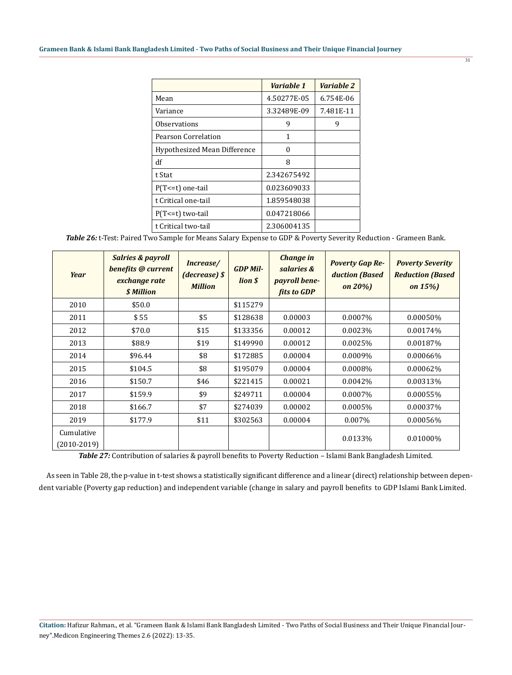|                              | Variable 1  | Variable 2 |
|------------------------------|-------------|------------|
| Mean                         | 4.50277E-05 | 6.754E-06  |
| Variance                     | 3.32489E-09 | 7.481E-11  |
| Observations                 | 9           | 9          |
| Pearson Correlation          | 1           |            |
| Hypothesized Mean Difference | O           |            |
| df                           | 8           |            |
| t Stat                       | 2.342675492 |            |
| P(T <= t) one-tail           | 0.023609033 |            |
| t Critical one-tail          | 1.859548038 |            |
| $P(T \le t)$ two-tail        | 0.047218066 |            |
| t Critical two-tail          | 2.306004135 |            |

*Table 26:* t-Test: Paired Two Sample for Means Salary Expense to GDP & Poverty Severity Reduction - Grameen Bank.

| Year                        | <b>Salries &amp; payroll</b><br>benefits @ current<br>exchange rate<br>\$ Million | Increase/<br>(decrease) \$<br><b>Million</b> | <b>GDP Mil-</b><br>lion \$ | <b>Change in</b><br>salaries &<br>payroll bene-<br>fits to GDP | <b>Poverty Gap Re-</b><br>duction (Based<br>on $20\%$ ) | <b>Poverty Severity</b><br><b>Reduction (Based)</b><br>on $15%$ |
|-----------------------------|-----------------------------------------------------------------------------------|----------------------------------------------|----------------------------|----------------------------------------------------------------|---------------------------------------------------------|-----------------------------------------------------------------|
| 2010                        | \$50.0                                                                            |                                              | \$115279                   |                                                                |                                                         |                                                                 |
| 2011                        | \$55                                                                              | \$5                                          | \$128638                   | 0.00003                                                        | 0.0007%                                                 | 0.00050%                                                        |
| 2012                        | \$70.0                                                                            | \$15                                         | \$133356                   | 0.00012                                                        | 0.0023%                                                 | 0.00174%                                                        |
| 2013                        | \$88.9                                                                            | \$19                                         | \$149990                   | 0.00012                                                        | 0.0025%                                                 | 0.00187%                                                        |
| 2014                        | \$96.44                                                                           | \$8                                          | \$172885                   | 0.00004                                                        | 0.0009%                                                 | 0.00066%                                                        |
| 2015                        | \$104.5                                                                           | \$8                                          | \$195079                   | 0.00004                                                        | 0.0008%                                                 | 0.00062%                                                        |
| 2016                        | \$150.7                                                                           | \$46                                         | \$221415                   | 0.00021                                                        | 0.0042%                                                 | 0.00313%                                                        |
| 2017                        | \$159.9                                                                           | \$9                                          | \$249711                   | 0.00004                                                        | 0.0007%                                                 | 0.00055%                                                        |
| 2018                        | \$166.7                                                                           | \$7                                          | \$274039                   | 0.00002                                                        | 0.0005%                                                 | 0.00037%                                                        |
| 2019                        | \$177.9                                                                           | \$11                                         | \$302563                   | 0.00004                                                        | 0.007%                                                  | 0.00056%                                                        |
| Cumulative<br>$(2010-2019)$ |                                                                                   |                                              |                            |                                                                | 0.0133%                                                 | 0.01000%                                                        |

*Table 27:* Contribution of salaries & payroll benefits to Poverty Reduction – Islami Bank Bangladesh Limited.

 As seen in Table 28, the p-value in t-test shows a statistically significant difference and a linear (direct) relationship between dependent variable (Poverty gap reduction) and independent variable (change in salary and payroll benefits to GDP Islami Bank Limited.

 $\overline{31}$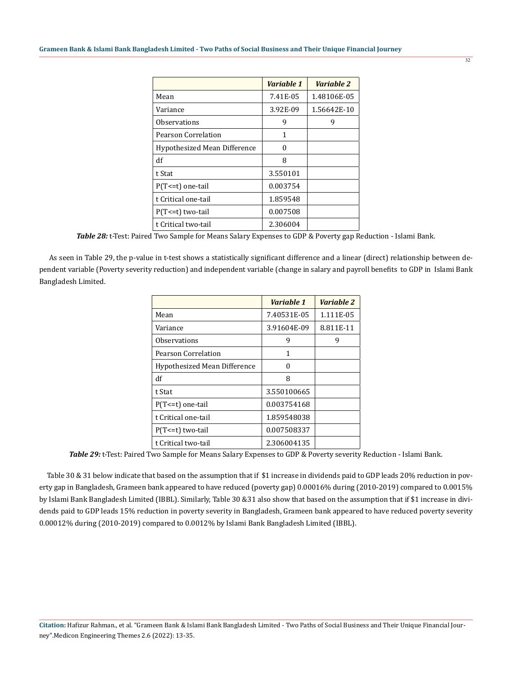|                              | Variable 1 | Variable 2  |
|------------------------------|------------|-------------|
| Mean                         | 7.41E-05   | 1.48106E-05 |
| Variance                     | 3.92E-09   | 1.56642E-10 |
| Observations                 | 9          | 9           |
| Pearson Correlation          | 1          |             |
| Hypothesized Mean Difference | O          |             |
| df                           | 8          |             |
| t Stat                       | 3.550101   |             |
| $P(T<=t)$ one-tail           | 0.003754   |             |
| t Critical one-tail          | 1.859548   |             |
| $P(T \le t)$ two-tail        | 0.007508   |             |
| t Critical two-tail          | 2.306004   |             |

*Table 28:* t-Test: Paired Two Sample for Means Salary Expenses to GDP & Poverty gap Reduction - Islami Bank.

 As seen in Table 29, the p-value in t-test shows a statistically significant difference and a linear (direct) relationship between dependent variable (Poverty severity reduction) and independent variable (change in salary and payroll benefits to GDP in Islami Bank Bangladesh Limited.

|                              | Variable 1  | Variable 2 |
|------------------------------|-------------|------------|
| Mean                         | 7.40531E-05 | 1.111E-05  |
| Variance                     | 3.91604E-09 | 8.811E-11  |
| <b>Observations</b>          | 9           | 9          |
| Pearson Correlation          | 1           |            |
| Hypothesized Mean Difference | ∩           |            |
| df                           | 8           |            |
| t Stat                       | 3.550100665 |            |
| $P(T \le t)$ one-tail        | 0.003754168 |            |
| t Critical one-tail          | 1.859548038 |            |
| $P(T \le t)$ two-tail        | 0.007508337 |            |
| t Critical two-tail          | 2.306004135 |            |

*Table 29:* t-Test: Paired Two Sample for Means Salary Expenses to GDP & Poverty severity Reduction - Islami Bank.

 Table 30 & 31 below indicate that based on the assumption that if \$1 increase in dividends paid to GDP leads 20% reduction in poverty gap in Bangladesh, Grameen bank appeared to have reduced (poverty gap) 0.00016% during (2010-2019) compared to 0.0015% by Islami Bank Bangladesh Limited (IBBL). Similarly, Table 30 &31 also show that based on the assumption that if \$1 increase in dividends paid to GDP leads 15% reduction in poverty severity in Bangladesh, Grameen bank appeared to have reduced poverty severity 0.00012% during (2010-2019) compared to 0.0012% by Islami Bank Bangladesh Limited (IBBL).

 $\overline{32}$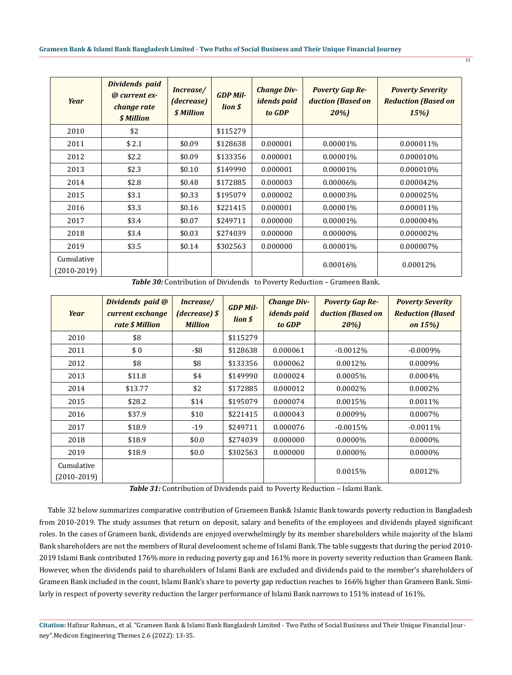| <b>Year</b>                   | Dividends paid<br>@ current ex-<br>change rate<br>\$ Million | Increase/<br>(decrease)<br><b><i>\$ Million</i></b> | <b>GDP Mil-</b><br>lion \$ | <b>Change Div-</b><br><i>idends paid</i><br>to GDP | <b>Poverty Gap Re-</b><br>duction (Based on<br>20%) | <b>Poverty Severity</b><br><b>Reduction (Based on</b><br><b>15%</b> |
|-------------------------------|--------------------------------------------------------------|-----------------------------------------------------|----------------------------|----------------------------------------------------|-----------------------------------------------------|---------------------------------------------------------------------|
| 2010                          | \$2                                                          |                                                     | \$115279                   |                                                    |                                                     |                                                                     |
| 2011                          | \$2.1                                                        | \$0.09                                              | \$128638                   | 0.000001                                           | 0.00001%                                            | 0.000011%                                                           |
| 2012                          | \$2.2                                                        | \$0.09                                              | \$133356                   | 0.000001                                           | 0.00001%                                            | 0.000010%                                                           |
| 2013                          | \$2.3                                                        | \$0.10                                              | \$149990                   | 0.000001                                           | 0.00001%                                            | 0.000010%                                                           |
| 2014                          | \$2.8                                                        | \$0.48                                              | \$172885                   | 0.000003                                           | 0.00006%                                            | 0.000042%                                                           |
| 2015                          | \$3.1                                                        | \$0.33                                              | \$195079                   | 0.000002                                           | 0.00003%                                            | 0.000025%                                                           |
| 2016                          | \$3.3                                                        | \$0.16                                              | \$221415                   | 0.000001                                           | 0.00001%                                            | 0.000011%                                                           |
| 2017                          | \$3.4                                                        | \$0.07                                              | \$249711                   | 0.000000                                           | 0.00001%                                            | 0.000004%                                                           |
| 2018                          | \$3.4                                                        | \$0.03                                              | \$274039                   | 0.000000                                           | 0.00000%                                            | 0.000002%                                                           |
| 2019                          | \$3.5                                                        | \$0.14                                              | \$302563                   | 0.000000                                           | 0.00001%                                            | 0.000007%                                                           |
| Cumulative<br>$(2010 - 2019)$ |                                                              |                                                     |                            |                                                    | 0.00016%                                            | 0.00012%                                                            |

*Table 30:* Contribution of Dividends to Poverty Reduction – Grameen Bank.

| Year                        | Dividends paid @<br>current exchange<br>rate \$ Million | Increase/<br>(decrease) \$<br><b>Million</b> | <b>GDP Mil-</b><br>lion \$ | <b>Change Div-</b><br><i>idends paid</i><br>to GDP | <b>Poverty Gap Re-</b><br>duction (Based on<br>20%) | <b>Poverty Severity</b><br><b>Reduction (Based</b><br>on $15\%$ ) |
|-----------------------------|---------------------------------------------------------|----------------------------------------------|----------------------------|----------------------------------------------------|-----------------------------------------------------|-------------------------------------------------------------------|
| 2010                        | \$8                                                     |                                              | \$115279                   |                                                    |                                                     |                                                                   |
| 2011                        | \$0                                                     | -\$8                                         | \$128638                   | 0.000061                                           | $-0.0012%$                                          | $-0.0009\%$                                                       |
| 2012                        | \$8                                                     | \$8                                          | \$133356                   | 0.000062                                           | 0.0012%                                             | 0.0009%                                                           |
| 2013                        | \$11.8                                                  | \$4                                          | \$149990                   | 0.000024                                           | 0.0005%                                             | 0.0004%                                                           |
| 2014                        | \$13.77                                                 | \$2                                          | \$172885                   | 0.000012                                           | 0.0002%                                             | 0.0002%                                                           |
| 2015                        | \$28.2                                                  | \$14                                         | \$195079                   | 0.000074                                           | 0.0015%                                             | 0.0011%                                                           |
| 2016                        | \$37.9                                                  | \$10                                         | \$221415                   | 0.000043                                           | 0.0009%                                             | 0.0007%                                                           |
| 2017                        | \$18.9                                                  | $-19$                                        | \$249711                   | 0.000076                                           | $-0.0015%$                                          | $-0.0011\%$                                                       |
| 2018                        | \$18.9                                                  | \$0.0                                        | \$274039                   | 0.000000                                           | $0.0000\%$                                          | 0.0000%                                                           |
| 2019                        | \$18.9                                                  | \$0.0\$                                      | \$302563                   | 0.000000                                           | $0.0000\%$                                          | $0.0000\%$                                                        |
| Cumulative<br>$(2010-2019)$ |                                                         |                                              |                            |                                                    | 0.0015%                                             | 0.0012%                                                           |

*Table 31:* Contribution of Dividends paid to Poverty Reduction – Islami Bank.

 Table 32 below summarizes comparative contribution of Graemeen Bank& Islamic Bank towards poverty reduction in Bangladesh from 2010-2019. The study assumes that return on deposit, salary and benefits of the employees and dividends played significant roles. In the cases of Grameen bank, dividends are enjoyed overwhelmingly by its member shareholders while majority of the Islami Bank shareholders are not the members of Rural develooment scheme of Islami Bank. The table suggests that during the period 2010- 2019 Islami Bank contributed 176% more in reducing poverty gap and 161% more in poverty severity reduction than Grameen Bank. However, when the dividends paid to shareholders of Islami Bank are excluded and dividends paid to the member's shareholders of Grameen Bank included in the count, Islami Bank's share to poverty gap reduction reaches to 166% higher than Grameen Bank. Similarly in respect of poverty severity reduction the larger performance of Islami Bank narrows to 151% instead of 161%.

33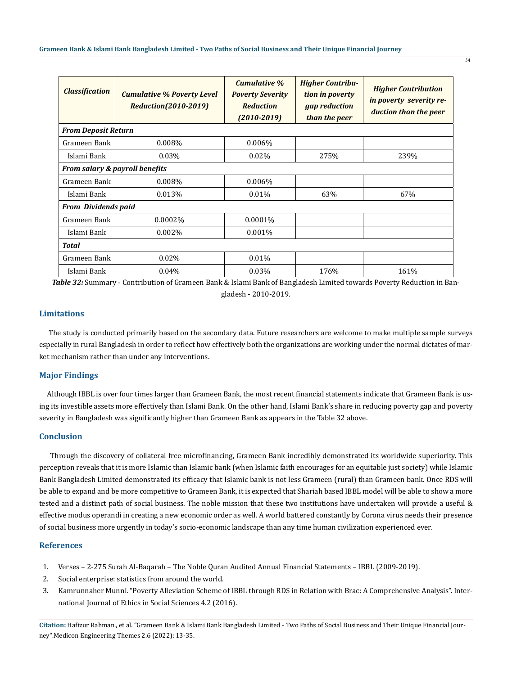| <b>Classification</b>          | <b>Cumulative % Poverty Level</b><br><b>Reduction(2010-2019)</b> | <b>Cumulative %</b><br><b>Poverty Severity</b><br><b>Reduction</b><br>$(2010 - 2019)$ | <b>Higher Contribu-</b><br>tion in poverty<br>gap reduction<br>than the peer | <b>Higher Contribution</b><br>in poverty severity re-<br>duction than the peer |
|--------------------------------|------------------------------------------------------------------|---------------------------------------------------------------------------------------|------------------------------------------------------------------------------|--------------------------------------------------------------------------------|
| <b>From Deposit Return</b>     |                                                                  |                                                                                       |                                                                              |                                                                                |
| Grameen Bank                   | 0.008%                                                           | 0.006%                                                                                |                                                                              |                                                                                |
| Islami Bank                    | 0.03%                                                            | 0.02%                                                                                 | 275%                                                                         | 239%                                                                           |
| From salary & payroll benefits |                                                                  |                                                                                       |                                                                              |                                                                                |
| Grameen Bank                   | 0.008%                                                           | 0.006%                                                                                |                                                                              |                                                                                |
| Islami Bank                    | 0.013%                                                           | $0.01\%$                                                                              | 63%                                                                          | 67%                                                                            |
| <b>From Dividends paid</b>     |                                                                  |                                                                                       |                                                                              |                                                                                |
| Grameen Bank                   | 0.0002%                                                          | 0.0001%                                                                               |                                                                              |                                                                                |
| Islami Bank                    | 0.002%                                                           | $0.001\%$                                                                             |                                                                              |                                                                                |
| Total                          |                                                                  |                                                                                       |                                                                              |                                                                                |
| Grameen Bank                   | 0.02%                                                            | $0.01\%$                                                                              |                                                                              |                                                                                |
| Islami Bank                    | 0.04%                                                            | 0.03%                                                                                 | 176%                                                                         | 161%                                                                           |

*Table 32:* Summary - Contribution of Grameen Bank & Islami Bank of Bangladesh Limited towards Poverty Reduction in Bangladesh - 2010-2019.

## **Limitations**

 The study is conducted primarily based on the secondary data. Future researchers are welcome to make multiple sample surveys especially in rural Bangladesh in order to reflect how effectively both the organizations are working under the normal dictates of market mechanism rather than under any interventions.

### **Major Findings**

 Although IBBL is over four times larger than Grameen Bank, the most recent financial statements indicate that Grameen Bank is using its investible assets more effectively than Islami Bank. On the other hand, Islami Bank's share in reducing poverty gap and poverty severity in Bangladesh was significantly higher than Grameen Bank as appears in the Table 32 above.

### **Conclusion**

 Through the discovery of collateral free microfinancing, Grameen Bank incredibly demonstrated its worldwide superiority. This perception reveals that it is more Islamic than Islamic bank (when Islamic faith encourages for an equitable just society) while Islamic Bank Bangladesh Limited demonstrated its efficacy that Islamic bank is not less Grameen (rural) than Grameen bank. Once RDS will be able to expand and be more competitive to Grameen Bank, it is expected that Shariah based IBBL model will be able to show a more tested and a distinct path of social business. The noble mission that these two institutions have undertaken will provide a useful & effective modus operandi in creating a new economic order as well. A world battered constantly by Corona virus needs their presence of social business more urgently in today's socio-economic landscape than any time human civilization experienced ever.

#### **References**

- 1. Verses 2-275 Surah Al-Baqarah The Noble Quran Audited Annual Financial Statements IBBL (2009-2019).
- 2. [Social enterprise: statistics from around the world.](http://socialgoodstuff.com/2016/08/statistics-from-around-the-world/)
- 3. [Kamrunnaher Munni. "Poverty Alleviation Scheme of IBBL through RDS in Relation with Brac: A Comprehensive Analysis". Inter](http://www.crimbbd.org/wp-content/uploads/2017/06/4.2.9.pdf)[national Journal of Ethics in Social Sciences 4.2 \(2016\).](http://www.crimbbd.org/wp-content/uploads/2017/06/4.2.9.pdf)

**Citation:** Hafizur Rahman., et al. "Grameen Bank & Islami Bank Bangladesh Limited - Two Paths of Social Business and Their Unique Financial Journey".Medicon Engineering Themes 2.6 (2022): 13-35.

 $\overline{34}$